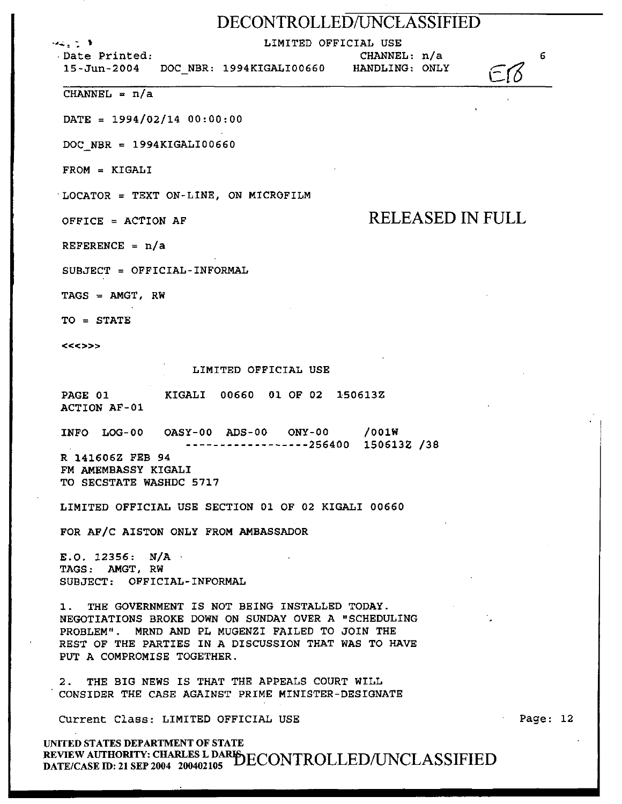### DECONTROLLED/UNCLASSIFIED

. .,~; : ' LIMITED OFFICIAL USE

CHANNEL: n/a

15-Jun-2004 *DOC* NBR: 1994KIGALI00660 HANDLING: ONLY

 $CHANNEL = n/a$ 

.Date Printed:

 $DATA = 1994/02/14 00:00:00$ 

*DOC* NBR = 1994KIGALI00660

FROM = KIGALI

·LOCATOR= TEXT ON-LINE, ON MICROFILM

OFFICE = ACTION AF RELEASED IN FULL

REFERENCE = n/a

SUBJECT = OFFICIAL-INFORMAL

TAGS = AMGT, RW

TO = STATE

<<<>>>

#### LIMITED OFFICIAL USE

PAGE 01 ACTION AF-01 KIGALI 00660 01 OF 02 150613Z

INFO LOG-00 OASY-00 ADS-00 ONY-00 /OOlW ------------------256400 150613Z /38

R 141606Z FEB 94 FM AMEMBASSY KIGALI TO SECSTATE WASHDC 5717

LIMITED OFFICIAL USE SECTION 01 OF 02 KIGALI 00660

FOR AF/C AlSTON ONLY FROM AMBASSADOR

E.O. 12356: N/A · TAGS: AMGT, RW SUBJECT: OFFICIAL-INFORMAL

1. THE GOVERNMENT IS NOT BEING INSTALLED TODAY. NEGOTIATIONS BROKE DOWN ON SUNDAY OVER A "SCHEDULING PROBLEM". MRND AND PL MUGENZI FAILED TO JOIN THE REST OF THE PARTIES IN A DISCUSSION THAT WAS TO HAVE PUT A COMPROMISE TOGETHER.

2. THE BIG NEWS IS THAT THE APPEALS COURT WILL CONSIDER THE CASE AGAINST PRIME MINISTER-DESIGNATE

Current Class: LIMITED OFFICIAL USE

UNITED STATES DEPARTMENT OF STATE REVIEW AUTHORITY: CHARLES L DARISDECONTROLLED/UNCLASSIFIED DATE/CASE ID: 21 SEP 2004 200402105 Page: 12

6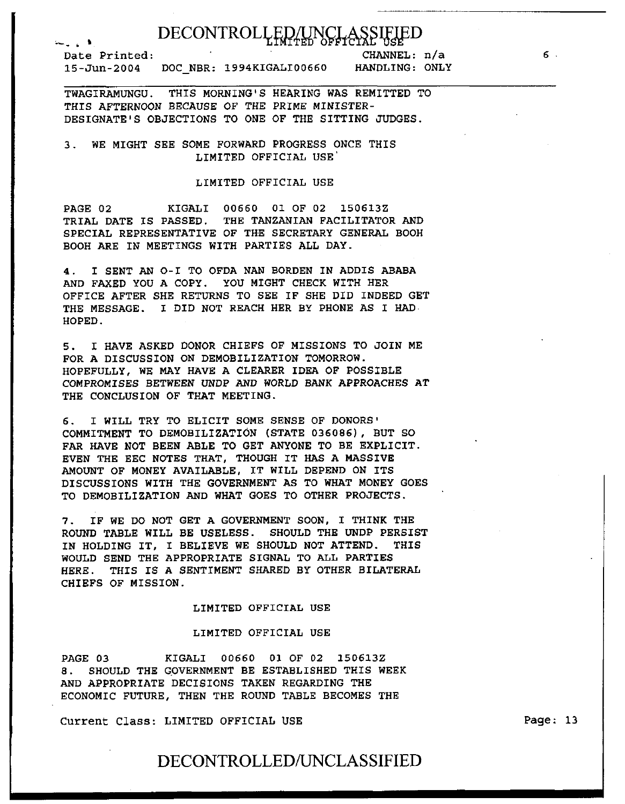# DECONTROLLED/UNCLASSIFU

;...\_.,. io ' Date Printed:<br>15-Jun-2004 DOC\_NBR: 1994KIGALI00660

CHANNEL: n/a HANDLING: ONLY

TWAGIRAMUNGU. THIS MORNING'S HEARING WAS REMITTED TO THIS AFTERNOON BECAUSE OF THE PRIME MINISTER-DESIGNATE'S OBJECTIONS TO ONE OF THE SITTING JUDGES.

### 3. WE MIGHT SEE SOME FORWARD PROGRESS ONCE THIS LIMITED OFFICIAL USE

### LIMITED OFFICIAL USE

PAGE 02 KIGALI 00660 01 OF 02 150613Z TRIAL DATE IS PASSED. THE TANZANIAN FACILITATOR AND SPECIAL REPRESENTATIVE OF THE SECRETARY GENERAL BOOH BOOH ARE IN MEETINGS WITH PARTIES ALL DAY.

4. I SENT AN 0-I TO OFDA NAN BORDEN IN ADDIS ABABA AND FAXED YOU A COPY. YOU MIGHT CHECK WITH HER OFFICE AFTER SHE RETURNS TO SEE IF SHE DID INDEED GET THE MESSAGE. I DID NOT REACH HER BY PHONE AS I HAD· HOPED.

5. I HAVE ASKED DONOR CHIEFS OF MISSIONS TO JOIN ME FOR A DISCUSSION ON DEMOBILIZATION TOMORROW. HOPEFULLY, WE MAY HAVE A CLEARER IDEA OF POSSIBLE COMPROMISES BETWEEN UNDP AND WORLD BANK APPROACHES AT THE CONCLUSION OF THAT MEETING.

6. I WILL TRY TO ELICIT SOME SENSE OF DONORS• COMMITMENT TO DEMOBILIZATION (STATE 036086) , BUT SO FAR HAVE NOT BEEN ABLE TO GET ANYONE TO BE EXPLICIT. EVEN THE EEC NOTES THAT, THOUGH IT HAS A MASSIVE AMOUNT OF MONEY AVAILABLE, IT WILL DEPEND ON ITS DISCUSSIONS WITH THE GOVERNMENT AS TO WHAT MONEY GOES TO DEMOBILIZATION AND WHAT GOES TO OTHER PROJECTS.

7. IF WE DO NOT GET A GOVERNMENT SOON, I THINK THE ROUND TABLE WILL BE USELESS. SHOULD THE UNDP PERSIST IN HOLDING IT, I BELIEVE WE SHOULD NOT ATTEND. THIS WOULD SEND THE APPROPRIATE SIGNAL TO ALL PARTIES HERE. THIS IS A SENTIMENT SHARED BY OTHER BILATERAL CHIEFS OF MISSION.

### LIMITED OFFICIAL USE

#### LIMITED OFFICIAL USE

PAGE 03 KIGALI 00660 01 OF 02 150613Z 8. SHOULD THE GOVERNMENT BE ESTABLISHED THIS WEEK AND APPROPRIATE DECISIONS TAKEN REGARDING THE ECONOMIC FUTURE, THEN THE ROUND TABLE BECOMES THE

Current Class: LIMITED OFFICIAL USE

Page: 13

6

### DECONTROLLED/UNCLASSIFIED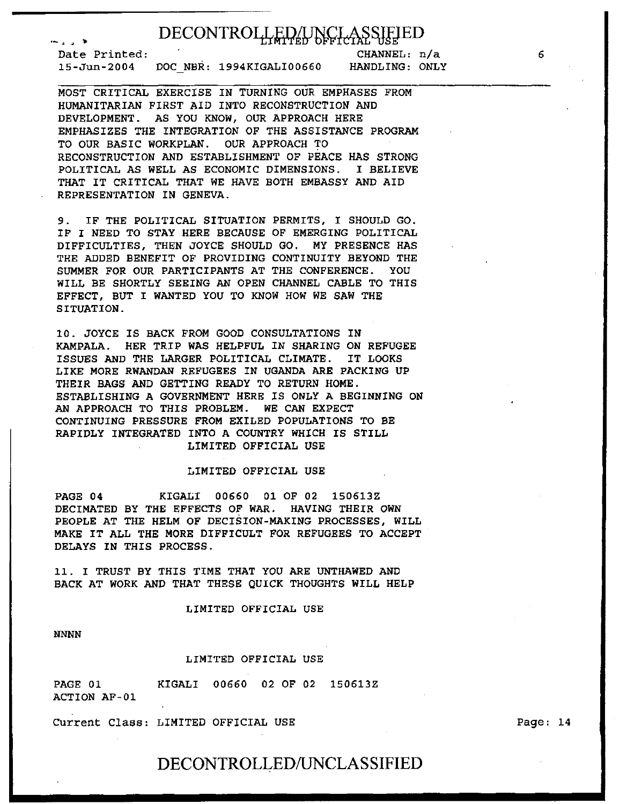# DECONTROILLED/UNCLASSIFJED

Date Printed: 15-Jun-2004 DOC NBR: 1994KIGALI00660

CHANNEL: n/a HANDLING: ONLY

MOST CRITICAL EXERCISE IN TURNING OUR EMPHASES FROM HUMANITARIAN FIRST AID INTO RECONSTRUCTION AND DEVELOPMENT. AS YOU KNOW, OUR APPROACH HERE EMPHASIZES THE INTEGRATION OF THE ASSISTANCE PROGRAM TO OUR BASIC WORKPLAN. OUR APPROACH TO RECONSTRUCTION AND ESTABLISHMENT OF PEACE HAS STRONG POLITICAL AS WELL AS ECONOMIC DIMENSIONS. I BELIEVE THAT IT CRITICAL THAT WE HAVE BOTH EMBASSY AND AID REPRESENTATION IN GENEVA.

9. IF THE POLITICAL SITUATION PERMITS, I SHOULD GO. IF I NEED TO STAY HERE BECAUSE OF EMERGING POLITICAL DIFFICULTIES, THEN JOYCE SHOULD GO. MY PRESENCE HAS THE ADDED BENEFIT OF PROVIDING CONTINUITY BEYOND THE SUMMER FOR OUR PARTICIPANTS AT THE CONFERENCE. YOU WILL BE SHORTLY SEEING AN OPEN CHANNEL CABLE TO THIS EFFECT, BUT I WANTED YOU TO KNOW HOW WE SAW THE SITUATION.

10. JOYCE IS BACK FROM GOOD CONSULTATIONS IN KAMPALA. HER TRIP WAS HELPFUL IN SHARING ON REFUGEE ISSUES AND THE LARGER POLITICAL CLIMATE. IT LOOKS LIKE MORE RWANDAN REFUGEES IN UGANDA ARE PACKING UP THEIR BAGS AND GETTING READY TO RETURN HOME. ESTABLISHING A GOVERNMENT HERE IS ONLY A BEGINNING ON AN APPROACH TO THIS PROBLEM. WE CAN EXPECT CONTINUING PRESSURE FROM EXILED POPULATIONS TO BE RAPIDLY INTEGRATED INTO A COUNTRY WHICH IS STILL LIMITED OFFICIAL USE

### LIMITED OFFICIAL USE

PAGE 04 KIGALI 00660 01 OF 02 150613Z DECIMATED BY THE EFFECTS OF WAR. HAVING THEIR OWN PEOPLE AT THE HELM OF DECISION-MAKING PROCESSES, WILL MAKE IT ALL THE MORE DIFFICULT FOR REFUGEES TO ACCEPT DELAYS IN THIS PROCESS.

11. I TRUST BY THIS TIME THAT YOU ARE UNTHAWED AND BACK AT WORK AND THAT THESE QUICK THOUGHTS WILL HELP

#### LIMITED OFFICIAL USE

NNNN

### LIMITED OFFICIAL USE

PAGE 01 ACTION AF-01 KIGALI 00660 02 OF 02 150613Z

Current Class: LIMITED OFFICIAL USE

Page: 14

### DECONTROLLED/UNCLASSIFIED

*6*